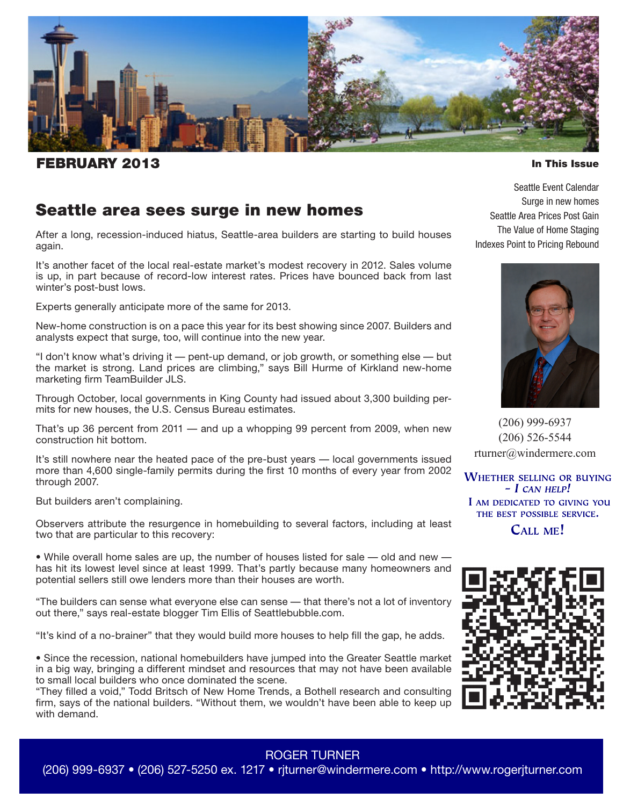

FEBRUARY 2013

#### In This Issue

## Seattle area sees surge in new homes

After a long, recession-induced hiatus, Seattle-area builders are starting to build houses again.

It's another facet of the local real-estate market's modest recovery in 2012. Sales volume is up, in part because of record-low interest rates. Prices have bounced back from last winter's post-bust lows.

Experts generally anticipate more of the same for 2013.

New-home construction is on a pace this year for its best showing since 2007. Builders and analysts expect that surge, too, will continue into the new year.

"I don't know what's driving it — pent-up demand, or job growth, or something else — but the market is strong. Land prices are climbing," says Bill Hurme of Kirkland new-home marketing firm TeamBuilder JLS.

Through October, local governments in King County had issued about 3,300 building permits for new houses, the U.S. Census Bureau estimates.

That's up 36 percent from 2011 — and up a whopping 99 percent from 2009, when new construction hit bottom.

It's still nowhere near the heated pace of the pre-bust years — local governments issued more than 4,600 single-family permits during the first 10 months of every year from 2002 through 2007.

But builders aren't complaining.

Observers attribute the resurgence in homebuilding to several factors, including at least two that are particular to this recovery:

• While overall home sales are up, the number of houses listed for sale — old and new has hit its lowest level since at least 1999. That's partly because many homeowners and potential sellers still owe lenders more than their houses are worth.

"The builders can sense what everyone else can sense — that there's not a lot of inventory out there," says real-estate blogger Tim Ellis of Seattlebubble.com.

"It's kind of a no-brainer" that they would build more houses to help fill the gap, he adds.

• Since the recession, national homebuilders have jumped into the Greater Seattle market in a big way, bringing a different mindset and resources that may not have been available to small local builders who once dominated the scene.

"They filled a void," Todd Britsch of New Home Trends, a Bothell research and consulting firm, says of the national builders. "Without them, we wouldn't have been able to keep up with demand.

Seattle Event Calendar Surge in new homes Seattle Area Prices Post Gain The Value of Home Staging Indexes Point to Pricing Rebound



(206) 999-6937 (206) 526-5544 rturner@windermere.com

**WHETHER SELLING OR BUYING**  $-$  I CAN HELP! I AM DEDICATED TO GIVING YOU THE BEST POSSIBLE SERVICE. CALL ME!



## ROGER TURNER

(206) 999-6937 • (206) 527-5250 ex. 1217 • rjturner@windermere.com • http://www.rogerjturner.com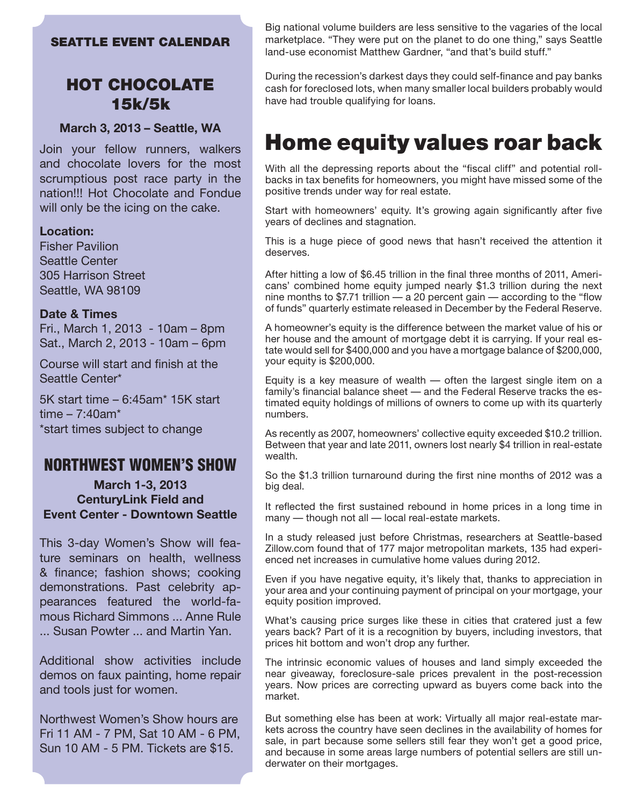#### SEATTLE EVENT CALENDAR

## HOT CHOCOLATE 15k/5k

**March 3, 2013 – Seattle, WA**

Join your fellow runners, walkers and chocolate lovers for the most scrumptious post race party in the nation!!! Hot Chocolate and Fondue will only be the icing on the cake.

#### **Location:**

Fisher Pavilion Seattle Center 305 Harrison Street Seattle, WA 98109

#### **Date & Times**

Fri., March 1, 2013 - 10am – 8pm Sat., March 2, 2013 - 10am – 6pm

Course will start and finish at the Seattle Center\*

5K start time – 6:45am\* 15K start time – 7:40am\* \*start times subject to change

## NORTHWEST WOMEN'S SHOW

**March 1-3, 2013 CenturyLink Field and Event Center - Downtown Seattle**

This 3-day Women's Show will feature seminars on health, wellness & finance; fashion shows; cooking demonstrations. Past celebrity appearances featured the world-famous Richard Simmons ... Anne Rule ... Susan Powter ... and Martin Yan.

Additional show activities include demos on faux painting, home repair and tools just for women.

Northwest Women's Show hours are Fri 11 AM - 7 PM, Sat 10 AM - 6 PM, Sun 10 AM - 5 PM. Tickets are \$15.

Big national volume builders are less sensitive to the vagaries of the local marketplace. "They were put on the planet to do one thing," says Seattle land-use economist Matthew Gardner, "and that's build stuff."

During the recession's darkest days they could self-finance and pay banks cash for foreclosed lots, when many smaller local builders probably would have had trouble qualifying for loans.

# Home equity values roar back

With all the depressing reports about the "fiscal cliff" and potential rollbacks in tax benefits for homeowners, you might have missed some of the positive trends under way for real estate.

Start with homeowners' equity. It's growing again significantly after five years of declines and stagnation.

This is a huge piece of good news that hasn't received the attention it deserves.

After hitting a low of \$6.45 trillion in the final three months of 2011, Americans' combined home equity jumped nearly \$1.3 trillion during the next nine months to \$7.71 trillion — a 20 percent gain — according to the "flow of funds" quarterly estimate released in December by the Federal Reserve.

A homeowner's equity is the difference between the market value of his or her house and the amount of mortgage debt it is carrying. If your real estate would sell for \$400,000 and you have a mortgage balance of \$200,000, your equity is \$200,000.

Equity is a key measure of wealth  $-$  often the largest single item on a family's financial balance sheet — and the Federal Reserve tracks the estimated equity holdings of millions of owners to come up with its quarterly numbers.

As recently as 2007, homeowners' collective equity exceeded \$10.2 trillion. Between that year and late 2011, owners lost nearly \$4 trillion in real-estate wealth.

So the \$1.3 trillion turnaround during the first nine months of 2012 was a big deal.

It reflected the first sustained rebound in home prices in a long time in many — though not all — local real-estate markets.

In a study released just before Christmas, researchers at Seattle-based Zillow.com found that of 177 major metropolitan markets, 135 had experienced net increases in cumulative home values during 2012.

Even if you have negative equity, it's likely that, thanks to appreciation in your area and your continuing payment of principal on your mortgage, your equity position improved.

What's causing price surges like these in cities that cratered just a few years back? Part of it is a recognition by buyers, including investors, that prices hit bottom and won't drop any further.

The intrinsic economic values of houses and land simply exceeded the near giveaway, foreclosure-sale prices prevalent in the post-recession years. Now prices are correcting upward as buyers come back into the market.

But something else has been at work: Virtually all major real-estate markets across the country have seen declines in the availability of homes for sale, in part because some sellers still fear they won't get a good price, and because in some areas large numbers of potential sellers are still underwater on their mortgages.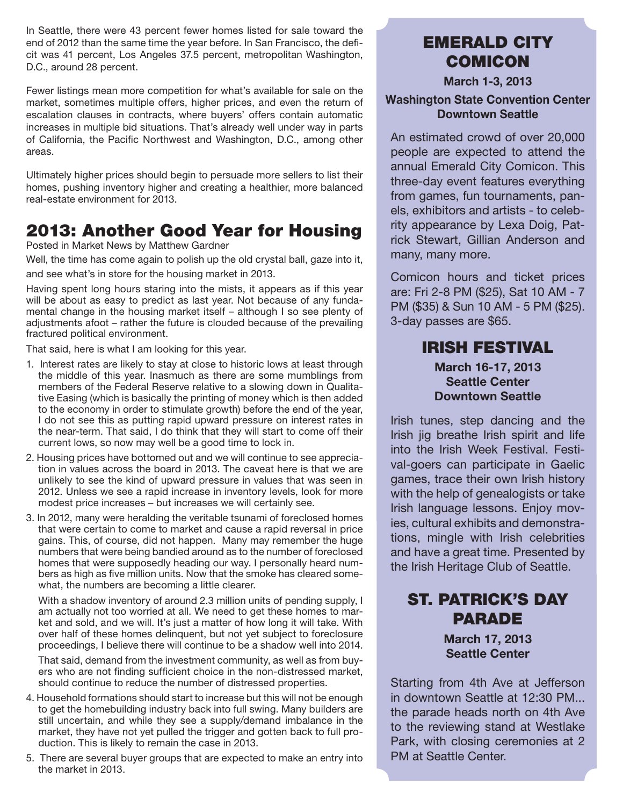In Seattle, there were 43 percent fewer homes listed for sale toward the end of 2012 than the same time the year before. In San Francisco, the deficit was 41 percent, Los Angeles 37.5 percent, metropolitan Washington, D.C., around 28 percent.

Fewer listings mean more competition for what's available for sale on the market, sometimes multiple offers, higher prices, and even the return of escalation clauses in contracts, where buyers' offers contain automatic increases in multiple bid situations. That's already well under way in parts of California, the Pacific Northwest and Washington, D.C., among other areas.

Ultimately higher prices should begin to persuade more sellers to list their homes, pushing inventory higher and creating a healthier, more balanced real-estate environment for 2013.

# 2013: Another Good Year for Housing

Posted in Market News by Matthew Gardner

Well, the time has come again to polish up the old crystal ball, gaze into it, and see what's in store for the housing market in 2013.

Having spent long hours staring into the mists, it appears as if this year will be about as easy to predict as last year. Not because of any fundamental change in the housing market itself – although I so see plenty of adjustments afoot – rather the future is clouded because of the prevailing fractured political environment.

That said, here is what I am looking for this year.

- 1. Interest rates are likely to stay at close to historic lows at least through the middle of this year. Inasmuch as there are some mumblings from members of the Federal Reserve relative to a slowing down in Qualitative Easing (which is basically the printing of money which is then added to the economy in order to stimulate growth) before the end of the year, I do not see this as putting rapid upward pressure on interest rates in the near-term. That said, I do think that they will start to come off their current lows, so now may well be a good time to lock in.
- 2. Housing prices have bottomed out and we will continue to see appreciation in values across the board in 2013. The caveat here is that we are unlikely to see the kind of upward pressure in values that was seen in 2012. Unless we see a rapid increase in inventory levels, look for more modest price increases – but increases we will certainly see.
- 3. In 2012, many were heralding the veritable tsunami of foreclosed homes that were certain to come to market and cause a rapid reversal in price gains. This, of course, did not happen. Many may remember the huge numbers that were being bandied around as to the number of foreclosed homes that were supposedly heading our way. I personally heard numbers as high as five million units. Now that the smoke has cleared somewhat, the numbers are becoming a little clearer.

With a shadow inventory of around 2.3 million units of pending supply, I am actually not too worried at all. We need to get these homes to market and sold, and we will. It's just a matter of how long it will take. With over half of these homes delinquent, but not yet subject to foreclosure proceedings, I believe there will continue to be a shadow well into 2014.

That said, demand from the investment community, as well as from buyers who are not finding sufficient choice in the non-distressed market, should continue to reduce the number of distressed properties.

- 4. Household formations should start to increase but this will not be enough to get the homebuilding industry back into full swing. Many builders are still uncertain, and while they see a supply/demand imbalance in the market, they have not yet pulled the trigger and gotten back to full production. This is likely to remain the case in 2013.
- 5. There are several buyer groups that are expected to make an entry into the market in 2013.

# EMERALD CITY COMICON

**March 1-3, 2013** 

### **Washington State Convention Center Downtown Seattle**

An estimated crowd of over 20,000 people are expected to attend the annual Emerald City Comicon. This three-day event features everything from games, fun tournaments, panels, exhibitors and artists - to celebrity appearance by Lexa Doig, Patrick Stewart, Gillian Anderson and many, many more.

Comicon hours and ticket prices are: Fri 2-8 PM (\$25), Sat 10 AM - 7 PM (\$35) & Sun 10 AM - 5 PM (\$25). 3-day passes are \$65.

## IRISH FESTIVAL

### **March 16-17, 2013 Seattle Center Downtown Seattle**

Irish tunes, step dancing and the Irish jig breathe Irish spirit and life into the Irish Week Festival. Festival-goers can participate in Gaelic games, trace their own Irish history with the help of genealogists or take Irish language lessons. Enjoy movies, cultural exhibits and demonstrations, mingle with Irish celebrities and have a great time. Presented by the Irish Heritage Club of Seattle.

# ST. PATRICK'S DAY PARADE

**March 17, 2013 Seattle Center** 

Starting from 4th Ave at Jefferson in downtown Seattle at 12:30 PM... the parade heads north on 4th Ave to the reviewing stand at Westlake Park, with closing ceremonies at 2 PM at Seattle Center.